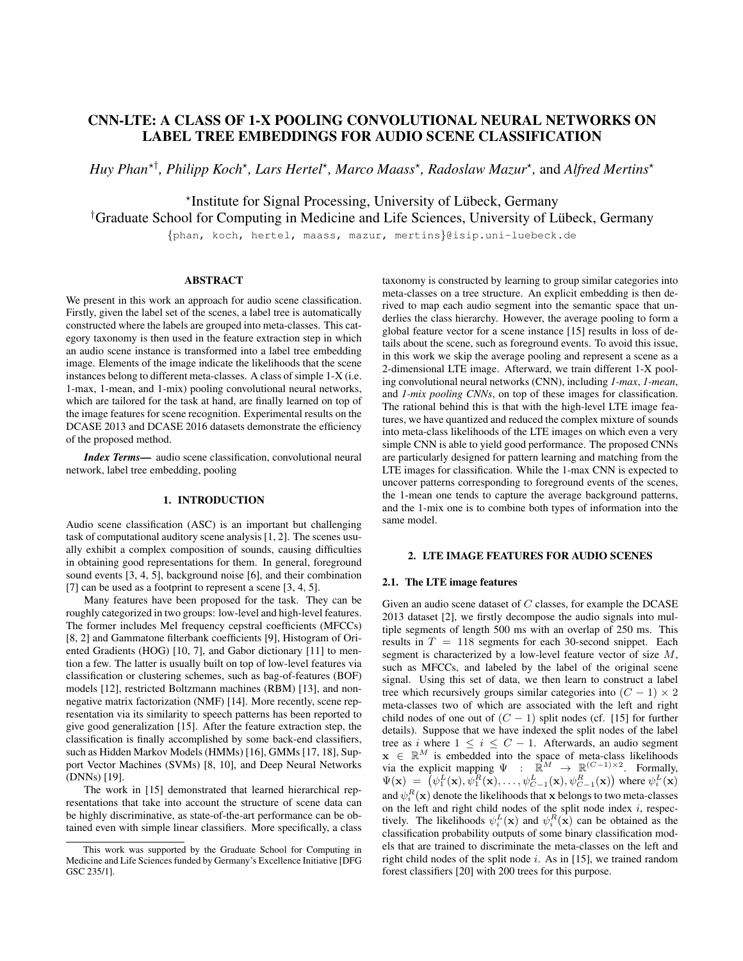# CNN-LTE: A CLASS OF 1-X POOLING CONVOLUTIONAL NEURAL NETWORKS ON LABEL TREE EMBEDDINGS FOR AUDIO SCENE CLASSIFICATION

*Huy Phan*<sup>\*†</sup>, *Philipp Koch*<sup>\*</sup>, *Lars Hertel*<sup>\*</sup>, *Marco Maass*<sup>\*</sup>, *Radoslaw Mazur*<sup>\*</sup>, and *Alfred Mertins*<sup>\*</sup>

\*Institute for Signal Processing, University of Lübeck, Germany

<sup>†</sup>Graduate School for Computing in Medicine and Life Sciences, University of Lübeck, Germany

{phan, koch, hertel, maass, mazur, mertins}@isip.uni-luebeck.de

# ABSTRACT

We present in this work an approach for audio scene classification. Firstly, given the label set of the scenes, a label tree is automatically constructed where the labels are grouped into meta-classes. This category taxonomy is then used in the feature extraction step in which an audio scene instance is transformed into a label tree embedding image. Elements of the image indicate the likelihoods that the scene instances belong to different meta-classes. A class of simple 1-X (i.e. 1-max, 1-mean, and 1-mix) pooling convolutional neural networks, which are tailored for the task at hand, are finally learned on top of the image features for scene recognition. Experimental results on the DCASE 2013 and DCASE 2016 datasets demonstrate the efficiency of the proposed method.

*Index Terms*— audio scene classification, convolutional neural network, label tree embedding, pooling

# 1. INTRODUCTION

Audio scene classification (ASC) is an important but challenging task of computational auditory scene analysis [1, 2]. The scenes usually exhibit a complex composition of sounds, causing difficulties in obtaining good representations for them. In general, foreground sound events [3, 4, 5], background noise [6], and their combination [7] can be used as a footprint to represent a scene [3, 4, 5].

Many features have been proposed for the task. They can be roughly categorized in two groups: low-level and high-level features. The former includes Mel frequency cepstral coefficients (MFCCs) [8, 2] and Gammatone filterbank coefficients [9], Histogram of Oriented Gradients (HOG) [10, 7], and Gabor dictionary [11] to mention a few. The latter is usually built on top of low-level features via classification or clustering schemes, such as bag-of-features (BOF) models [12], restricted Boltzmann machines (RBM) [13], and nonnegative matrix factorization (NMF) [14]. More recently, scene representation via its similarity to speech patterns has been reported to give good generalization [15]. After the feature extraction step, the classification is finally accomplished by some back-end classifiers, such as Hidden Markov Models (HMMs) [16], GMMs [17, 18], Support Vector Machines (SVMs) [8, 10], and Deep Neural Networks (DNNs) [19].

The work in [15] demonstrated that learned hierarchical representations that take into account the structure of scene data can be highly discriminative, as state-of-the-art performance can be obtained even with simple linear classifiers. More specifically, a class taxonomy is constructed by learning to group similar categories into meta-classes on a tree structure. An explicit embedding is then derived to map each audio segment into the semantic space that underlies the class hierarchy. However, the average pooling to form a global feature vector for a scene instance [15] results in loss of details about the scene, such as foreground events. To avoid this issue, in this work we skip the average pooling and represent a scene as a 2-dimensional LTE image. Afterward, we train different 1-X pooling convolutional neural networks (CNN), including *1-max*, *1-mean*, and *1-mix pooling CNNs*, on top of these images for classification. The rational behind this is that with the high-level LTE image features, we have quantized and reduced the complex mixture of sounds into meta-class likelihoods of the LTE images on which even a very simple CNN is able to yield good performance. The proposed CNNs are particularly designed for pattern learning and matching from the LTE images for classification. While the 1-max CNN is expected to uncover patterns corresponding to foreground events of the scenes, the 1-mean one tends to capture the average background patterns, and the 1-mix one is to combine both types of information into the same model.

#### 2. LTE IMAGE FEATURES FOR AUDIO SCENES

#### 2.1. The LTE image features

Given an audio scene dataset of  $C$  classes, for example the DCASE 2013 dataset [2], we firstly decompose the audio signals into multiple segments of length 500 ms with an overlap of 250 ms. This results in  $T = 118$  segments for each 30-second snippet. Each segment is characterized by a low-level feature vector of size M, such as MFCCs, and labeled by the label of the original scene signal. Using this set of data, we then learn to construct a label tree which recursively groups similar categories into  $(C - 1) \times 2$ meta-classes two of which are associated with the left and right child nodes of one out of  $(C - 1)$  split nodes (cf. [15] for further details). Suppose that we have indexed the split nodes of the label tree as i where  $1 \le i \le C - 1$ . Afterwards, an audio segment  $\mathbf{x} \in \mathbb{R}^M$  is embedded into the space of meta-class likelihoods via the explicit mapping  $\Psi$  :  $\mathbb{R}^M \to \mathbb{R}^{(C-1)\times 2}$ . Formally,  $\Psi(\mathbf{x}) = \left[ \psi_1^L(\mathbf{x}), \psi_1^R(\mathbf{x}), \dots, \psi_{C-1}^L(\mathbf{x}), \psi_{C-1}^R(\mathbf{x}) \right]$  where  $\psi_i^L(\mathbf{x})$ and  $\psi^R_i(\mathbf{x})$  denote the likelihoods that  $\mathbf x$  belongs to two meta-classes on the left and right child nodes of the split node index  $i$ , respectively. The likelihoods  $\psi_i^L(\mathbf{x})$  and  $\psi_i^R(\mathbf{x})$  can be obtained as the classification probability outputs of some binary classification models that are trained to discriminate the meta-classes on the left and right child nodes of the split node  $i$ . As in [15], we trained random forest classifiers [20] with 200 trees for this purpose.

This work was supported by the Graduate School for Computing in Medicine and Life Sciences funded by Germany's Excellence Initiative [DFG GSC 235/1].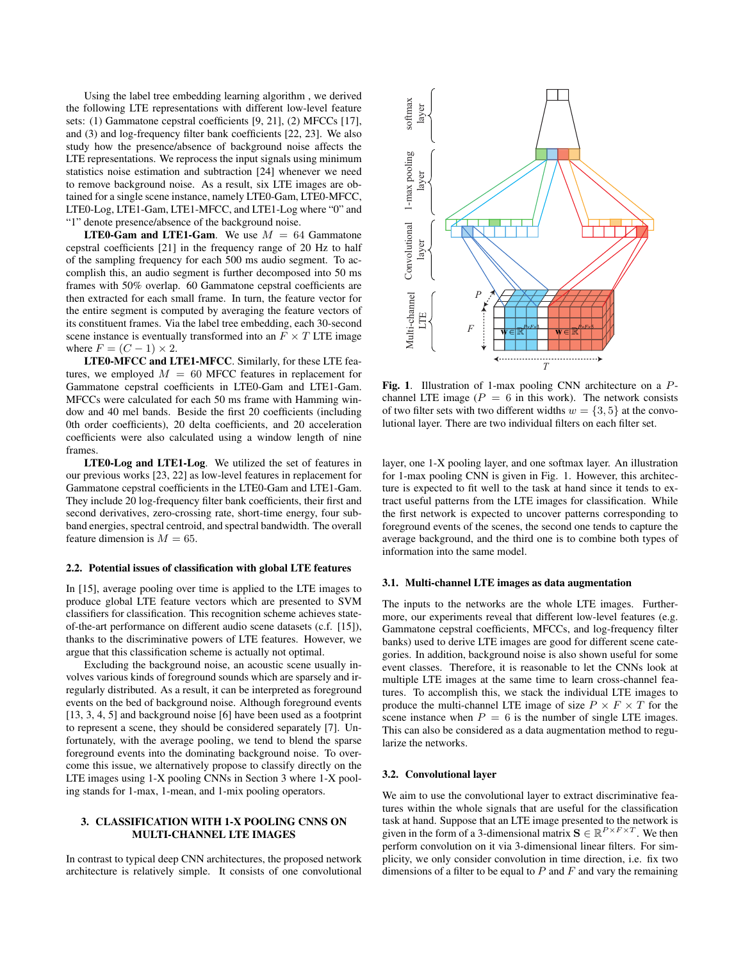Using the label tree embedding learning algorithm , we derived the following LTE representations with different low-level feature sets: (1) Gammatone cepstral coefficients [9, 21], (2) MFCCs [17], and (3) and log-frequency filter bank coefficients [22, 23]. We also study how the presence/absence of background noise affects the LTE representations. We reprocess the input signals using minimum statistics noise estimation and subtraction [24] whenever we need to remove background noise. As a result, six LTE images are obtained for a single scene instance, namely LTE0-Gam, LTE0-MFCC, LTE0-Log, LTE1-Gam, LTE1-MFCC, and LTE1-Log where "0" and "1" denote presence/absence of the background noise.

**LTE0-Gam and LTE1-Gam.** We use  $M = 64$  Gammatone cepstral coefficients [21] in the frequency range of 20 Hz to half of the sampling frequency for each 500 ms audio segment. To accomplish this, an audio segment is further decomposed into 50 ms frames with 50% overlap. 60 Gammatone cepstral coefficients are then extracted for each small frame. In turn, the feature vector for the entire segment is computed by averaging the feature vectors of its constituent frames. Via the label tree embedding, each 30-second scene instance is eventually transformed into an  $F \times T$  LTE image where  $F = (C - 1) \times 2$ .

LTE0-MFCC and LTE1-MFCC. Similarly, for these LTE features, we employed  $M = 60$  MFCC features in replacement for Gammatone cepstral coefficients in LTE0-Gam and LTE1-Gam. MFCCs were calculated for each 50 ms frame with Hamming window and 40 mel bands. Beside the first 20 coefficients (including 0th order coefficients), 20 delta coefficients, and 20 acceleration coefficients were also calculated using a window length of nine frames.

LTE0-Log and LTE1-Log. We utilized the set of features in our previous works [23, 22] as low-level features in replacement for Gammatone cepstral coefficients in the LTE0-Gam and LTE1-Gam. They include 20 log-frequency filter bank coefficients, their first and second derivatives, zero-crossing rate, short-time energy, four subband energies, spectral centroid, and spectral bandwidth. The overall feature dimension is  $M = 65$ .

# 2.2. Potential issues of classification with global LTE features

In [15], average pooling over time is applied to the LTE images to produce global LTE feature vectors which are presented to SVM classifiers for classification. This recognition scheme achieves stateof-the-art performance on different audio scene datasets (c.f. [15]), thanks to the discriminative powers of LTE features. However, we argue that this classification scheme is actually not optimal.

Excluding the background noise, an acoustic scene usually involves various kinds of foreground sounds which are sparsely and irregularly distributed. As a result, it can be interpreted as foreground events on the bed of background noise. Although foreground events [13, 3, 4, 5] and background noise [6] have been used as a footprint to represent a scene, they should be considered separately [7]. Unfortunately, with the average pooling, we tend to blend the sparse foreground events into the dominating background noise. To overcome this issue, we alternatively propose to classify directly on the LTE images using 1-X pooling CNNs in Section 3 where 1-X pooling stands for 1-max, 1-mean, and 1-mix pooling operators.

# 3. CLASSIFICATION WITH 1-X POOLING CNNS ON MULTI-CHANNEL LTE IMAGES

In contrast to typical deep CNN architectures, the proposed network architecture is relatively simple. It consists of one convolutional



Fig. 1. Illustration of 1-max pooling CNN architecture on a Pchannel LTE image ( $P = 6$  in this work). The network consists of two filter sets with two different widths  $w = \{3, 5\}$  at the convolutional layer. There are two individual filters on each filter set.

layer, one 1-X pooling layer, and one softmax layer. An illustration for 1-max pooling CNN is given in Fig. 1. However, this architecture is expected to fit well to the task at hand since it tends to extract useful patterns from the LTE images for classification. While the first network is expected to uncover patterns corresponding to foreground events of the scenes, the second one tends to capture the average background, and the third one is to combine both types of information into the same model.

#### 3.1. Multi-channel LTE images as data augmentation

The inputs to the networks are the whole LTE images. Furthermore, our experiments reveal that different low-level features (e.g. Gammatone cepstral coefficients, MFCCs, and log-frequency filter banks) used to derive LTE images are good for different scene categories. In addition, background noise is also shown useful for some event classes. Therefore, it is reasonable to let the CNNs look at multiple LTE images at the same time to learn cross-channel features. To accomplish this, we stack the individual LTE images to produce the multi-channel LTE image of size  $P \times F \times T$  for the scene instance when  $P = 6$  is the number of single LTE images. This can also be considered as a data augmentation method to regularize the networks.

#### 3.2. Convolutional layer

We aim to use the convolutional layer to extract discriminative features within the whole signals that are useful for the classification task at hand. Suppose that an LTE image presented to the network is given in the form of a 3-dimensional matrix  $\mathbf{S} \in \mathbb{R}^{P \times F \times T}$ . We then perform convolution on it via 3-dimensional linear filters. For simplicity, we only consider convolution in time direction, i.e. fix two dimensions of a filter to be equal to  $P$  and  $F$  and vary the remaining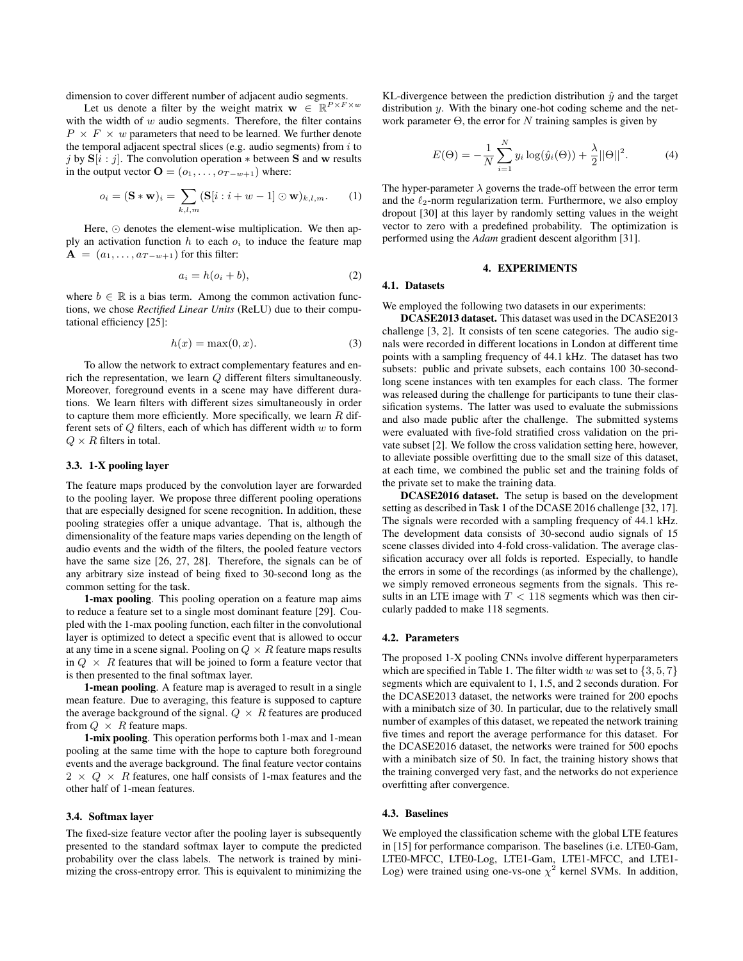dimension to cover different number of adjacent audio segments.

Let us denote a filter by the weight matrix  $\mathbf{w} \in \mathbb{R}^{P \times F \times w}$ with the width of  $w$  audio segments. Therefore, the filter contains  $P \times F \times w$  parameters that need to be learned. We further denote the temporal adjacent spectral slices (e.g. audio segments) from  $i$  to j by  $S[i:j]$ . The convolution operation  $*$  between S and w results in the output vector  $\mathbf{O} = (o_1, \dots, o_{T-w+1})$  where:

$$
o_i = (\mathbf{S} * \mathbf{w})_i = \sum_{k,l,m} (\mathbf{S}[i : i + w - 1] \odot \mathbf{w})_{k,l,m}. \tag{1}
$$

Here,  $\odot$  denotes the element-wise multiplication. We then apply an activation function  $h$  to each  $o_i$  to induce the feature map  $\mathbf{A} = (a_1, \dots, a_{T-w+1})$  for this filter:

$$
a_i = h(o_i + b), \tag{2}
$$

where  $b \in \mathbb{R}$  is a bias term. Among the common activation functions, we chose *Rectified Linear Units* (ReLU) due to their computational efficiency [25]:

$$
h(x) = \max(0, x). \tag{3}
$$

To allow the network to extract complementary features and enrich the representation, we learn Q different filters simultaneously. Moreover, foreground events in a scene may have different durations. We learn filters with different sizes simultaneously in order to capture them more efficiently. More specifically, we learn  $R$  different sets of  $Q$  filters, each of which has different width  $w$  to form  $Q \times R$  filters in total.

#### 3.3. 1-X pooling layer

The feature maps produced by the convolution layer are forwarded to the pooling layer. We propose three different pooling operations that are especially designed for scene recognition. In addition, these pooling strategies offer a unique advantage. That is, although the dimensionality of the feature maps varies depending on the length of audio events and the width of the filters, the pooled feature vectors have the same size [26, 27, 28]. Therefore, the signals can be of any arbitrary size instead of being fixed to 30-second long as the common setting for the task.

1-max pooling. This pooling operation on a feature map aims to reduce a feature set to a single most dominant feature [29]. Coupled with the 1-max pooling function, each filter in the convolutional layer is optimized to detect a specific event that is allowed to occur at any time in a scene signal. Pooling on  $Q \times R$  feature maps results in  $Q \times R$  features that will be joined to form a feature vector that is then presented to the final softmax layer.

1-mean pooling. A feature map is averaged to result in a single mean feature. Due to averaging, this feature is supposed to capture the average background of the signal.  $Q \times R$  features are produced from  $Q \times R$  feature maps.

1-mix pooling. This operation performs both 1-max and 1-mean pooling at the same time with the hope to capture both foreground events and the average background. The final feature vector contains  $2 \times Q \times R$  features, one half consists of 1-max features and the other half of 1-mean features.

## 3.4. Softmax layer

The fixed-size feature vector after the pooling layer is subsequently presented to the standard softmax layer to compute the predicted probability over the class labels. The network is trained by minimizing the cross-entropy error. This is equivalent to minimizing the

KL-divergence between the prediction distribution  $\hat{y}$  and the target distribution y. With the binary one-hot coding scheme and the network parameter  $\Theta$ , the error for N training samples is given by

$$
E(\Theta) = -\frac{1}{N} \sum_{i=1}^{N} y_i \log(\hat{y}_i(\Theta)) + \frac{\lambda}{2} ||\Theta||^2.
$$
 (4)

The hyper-parameter  $\lambda$  governs the trade-off between the error term and the  $\ell_2$ -norm regularization term. Furthermore, we also employ dropout [30] at this layer by randomly setting values in the weight vector to zero with a predefined probability. The optimization is performed using the *Adam* gradient descent algorithm [31].

#### 4. EXPERIMENTS

## 4.1. Datasets

We employed the following two datasets in our experiments:

DCASE2013 dataset. This dataset was used in the DCASE2013 challenge [3, 2]. It consists of ten scene categories. The audio signals were recorded in different locations in London at different time points with a sampling frequency of 44.1 kHz. The dataset has two subsets: public and private subsets, each contains 100 30-secondlong scene instances with ten examples for each class. The former was released during the challenge for participants to tune their classification systems. The latter was used to evaluate the submissions and also made public after the challenge. The submitted systems were evaluated with five-fold stratified cross validation on the private subset [2]. We follow the cross validation setting here, however, to alleviate possible overfitting due to the small size of this dataset, at each time, we combined the public set and the training folds of the private set to make the training data.

DCASE2016 dataset. The setup is based on the development setting as described in Task 1 of the DCASE 2016 challenge [32, 17]. The signals were recorded with a sampling frequency of 44.1 kHz. The development data consists of 30-second audio signals of 15 scene classes divided into 4-fold cross-validation. The average classification accuracy over all folds is reported. Especially, to handle the errors in some of the recordings (as informed by the challenge), we simply removed erroneous segments from the signals. This results in an LTE image with  $T < 118$  segments which was then circularly padded to make 118 segments.

## 4.2. Parameters

The proposed 1-X pooling CNNs involve different hyperparameters which are specified in Table 1. The filter width w was set to  $\{3, 5, 7\}$ segments which are equivalent to 1, 1.5, and 2 seconds duration. For the DCASE2013 dataset, the networks were trained for 200 epochs with a minibatch size of 30. In particular, due to the relatively small number of examples of this dataset, we repeated the network training five times and report the average performance for this dataset. For the DCASE2016 dataset, the networks were trained for 500 epochs with a minibatch size of 50. In fact, the training history shows that the training converged very fast, and the networks do not experience overfitting after convergence.

# 4.3. Baselines

We employed the classification scheme with the global LTE features in [15] for performance comparison. The baselines (i.e. LTE0-Gam, LTE0-MFCC, LTE0-Log, LTE1-Gam, LTE1-MFCC, and LTE1- Log) were trained using one-vs-one  $\chi^2$  kernel SVMs. In addition,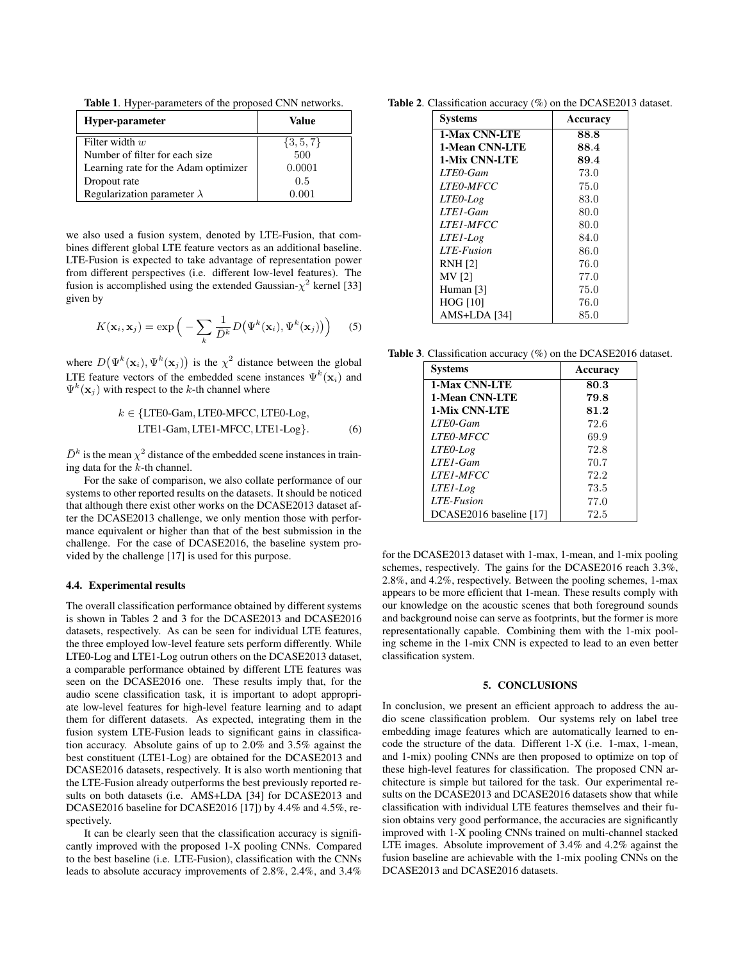Table 1. Hyper-parameters of the proposed CNN networks.

| Hyper-parameter                      | Value         |
|--------------------------------------|---------------|
| Filter width $w$                     | $\{3, 5, 7\}$ |
| Number of filter for each size.      | 500           |
| Learning rate for the Adam optimizer | 0.0001        |
| Dropout rate                         | 0.5           |
| Regularization parameter $\lambda$   | 0.001         |

we also used a fusion system, denoted by LTE-Fusion, that combines different global LTE feature vectors as an additional baseline. LTE-Fusion is expected to take advantage of representation power from different perspectives (i.e. different low-level features). The fusion is accomplished using the extended Gaussian- $\chi^2$  kernel [33] given by

$$
K(\mathbf{x}_i, \mathbf{x}_j) = \exp\Big(-\sum_k \frac{1}{\bar{D}^k} D(\Psi^k(\mathbf{x}_i), \Psi^k(\mathbf{x}_j))\Big) \qquad (5)
$$

where  $D(\Psi^k(\mathbf{x}_i), \Psi^k(\mathbf{x}_j))$  is the  $\chi^2$  distance between the global LTE feature vectors of the embedded scene instances  $\Psi^k(\mathbf{x}_i)$  and  $\Psi^k(\mathbf{x}_j)$  with respect to the k-th channel where

$$
k \in \{\text{LTE0-Gam}, \text{LTE0-MFCC}, \text{LTE0-Log}, \text{LTE1-Gam}, \text{LTE1-MFCC}, \text{LTE1-Log}\}.
$$
 (6)

 $\bar{D}^k$  is the mean  $\chi^2$  distance of the embedded scene instances in training data for the k-th channel.

For the sake of comparison, we also collate performance of our systems to other reported results on the datasets. It should be noticed that although there exist other works on the DCASE2013 dataset after the DCASE2013 challenge, we only mention those with performance equivalent or higher than that of the best submission in the challenge. For the case of DCASE2016, the baseline system provided by the challenge [17] is used for this purpose.

#### 4.4. Experimental results

The overall classification performance obtained by different systems is shown in Tables 2 and 3 for the DCASE2013 and DCASE2016 datasets, respectively. As can be seen for individual LTE features, the three employed low-level feature sets perform differently. While LTE0-Log and LTE1-Log outrun others on the DCASE2013 dataset, a comparable performance obtained by different LTE features was seen on the DCASE2016 one. These results imply that, for the audio scene classification task, it is important to adopt appropriate low-level features for high-level feature learning and to adapt them for different datasets. As expected, integrating them in the fusion system LTE-Fusion leads to significant gains in classification accuracy. Absolute gains of up to 2.0% and 3.5% against the best constituent (LTE1-Log) are obtained for the DCASE2013 and DCASE2016 datasets, respectively. It is also worth mentioning that the LTE-Fusion already outperforms the best previously reported results on both datasets (i.e. AMS+LDA [34] for DCASE2013 and DCASE2016 baseline for DCASE2016 [17]) by 4.4% and 4.5%, respectively.

It can be clearly seen that the classification accuracy is significantly improved with the proposed 1-X pooling CNNs. Compared to the best baseline (i.e. LTE-Fusion), classification with the CNNs leads to absolute accuracy improvements of 2.8%, 2.4%, and 3.4%

Table 2. Classification accuracy (%) on the DCASE2013 dataset.

| <b>Systems</b>   | Accuracy |
|------------------|----------|
| 1-Max CNN-LTE    | 88.8     |
| 1-Mean CNN-LTE   | 88.4     |
| 1-Mix CNN-LTE    | 89.4     |
| LTE0-Gam         | 73.0     |
| <i>LTEO-MFCC</i> | 75.0     |
| LTEO-Log         | 83.0     |
| LTE1-Gam         | 80.0     |
| <i>LTE1-MFCC</i> | 80.0     |
| LTE1-Log         | 84.0     |
| LTE-Fusion       | 86.0     |
| <b>RNH [2]</b>   | 76.0     |
| <b>MV</b> [2]    | 77.0     |
| Human [3]        | 75.0     |
| <b>HOG</b> [10]  | 76.0     |
| AMS+LDA [34]     | 85.0     |

Table 3. Classification accuracy (%) on the DCASE2016 dataset.

| <b>Systems</b>          | Accuracy |
|-------------------------|----------|
| <b>1-Max CNN-LTE</b>    | 80.3     |
| 1-Mean CNN-LTE          | 79.8     |
| <b>1-Mix CNN-LTE</b>    | 81.2     |
| LTE0-Gam                | 72.6     |
| <b>LTEO-MFCC</b>        | 69.9     |
| LTEO-Log                | 72.8     |
| $LTE1-Gam$              | 70.7     |
| <i>LTE1-MFCC</i>        | 72.2     |
| LTE <sub>l</sub> -Log   | 73.5     |
| LTE-Fusion              | 77.0     |
| DCASE2016 baseline [17] | 72.5     |

for the DCASE2013 dataset with 1-max, 1-mean, and 1-mix pooling schemes, respectively. The gains for the DCASE2016 reach 3.3%, 2.8%, and 4.2%, respectively. Between the pooling schemes, 1-max appears to be more efficient that 1-mean. These results comply with our knowledge on the acoustic scenes that both foreground sounds and background noise can serve as footprints, but the former is more representationally capable. Combining them with the 1-mix pooling scheme in the 1-mix CNN is expected to lead to an even better classification system.

#### 5. CONCLUSIONS

In conclusion, we present an efficient approach to address the audio scene classification problem. Our systems rely on label tree embedding image features which are automatically learned to encode the structure of the data. Different 1-X (i.e. 1-max, 1-mean, and 1-mix) pooling CNNs are then proposed to optimize on top of these high-level features for classification. The proposed CNN architecture is simple but tailored for the task. Our experimental results on the DCASE2013 and DCASE2016 datasets show that while classification with individual LTE features themselves and their fusion obtains very good performance, the accuracies are significantly improved with 1-X pooling CNNs trained on multi-channel stacked LTE images. Absolute improvement of 3.4% and 4.2% against the fusion baseline are achievable with the 1-mix pooling CNNs on the DCASE2013 and DCASE2016 datasets.